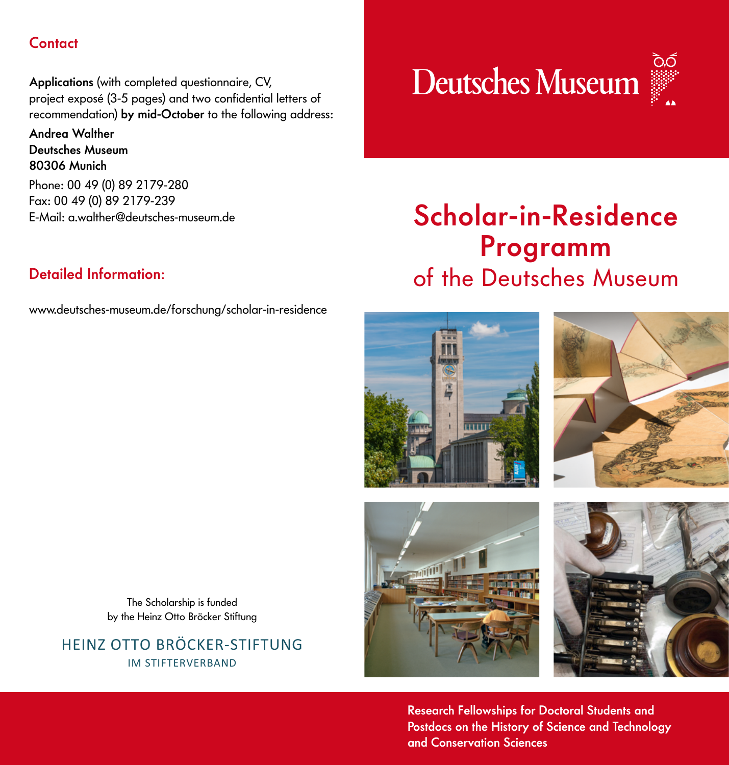### **Contact**

Applications (with completed questionnaire, CV, project exposé (3-5 pages) and two confidential letters of recommendation) by mid-October to the following address:

Andrea Walther Deutsches Museum 80306 Munich

Phone: 00 49 (0) 89 2179-280 Fax: 00 49 (0) 89 2179-239 E-Mail: a.walther@deutsches-museum.de

### Detailed Information:

www.deutsches-museum.de/forschung/scholar-in-residence



# Scholar-in-Residence Programm of the Deutsches Museum







Research Fellowships for Doctoral Students and Postdocs on the History of Science and Technology and Conservation Sciences

The Scholarship is funded by the Heinz Otto Bröcker Stiftung

HEINZ OTTO BRÖCKER-STIFTUNG IM STIFTERVERBAND